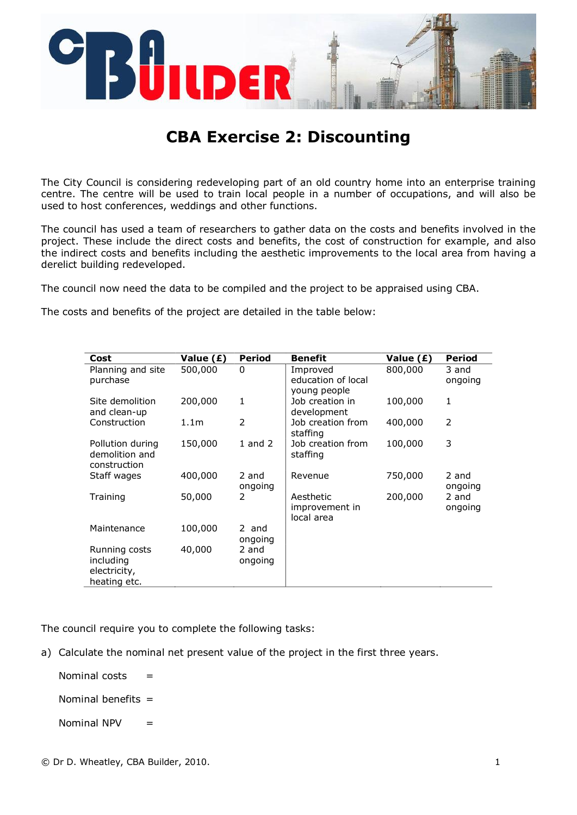

## **CBA Exercise 2: Discounting**

The City Council is considering redeveloping part of an old country home into an enterprise training centre. The centre will be used to train local people in a number of occupations, and will also be used to host conferences, weddings and other functions.

The council has used a team of researchers to gather data on the costs and benefits involved in the project. These include the direct costs and benefits, the cost of construction for example, and also the indirect costs and benefits including the aesthetic improvements to the local area from having a derelict building redeveloped.

The council now need the data to be compiled and the project to be appraised using CBA.

The costs and benefits of the project are detailed in the table below:

| Cost                                                       | Value (£)        | <b>Period</b>    | <b>Benefit</b>                                 | Value (£) | <b>Period</b>    |
|------------------------------------------------------------|------------------|------------------|------------------------------------------------|-----------|------------------|
| Planning and site<br>purchase                              | 500,000          | 0                | Improved<br>education of local<br>young people | 800,000   | 3 and<br>ongoing |
| Site demolition<br>and clean-up                            | 200,000          | 1                | Job creation in<br>development                 | 100,000   | 1                |
| Construction                                               | 1.1 <sub>m</sub> | $\mathcal{P}$    | Job creation from<br>staffing                  | 400,000   | 2                |
| Pollution during<br>demolition and<br>construction         | 150,000          | $1$ and $2$      | Job creation from<br>staffing                  | 100,000   | 3                |
| Staff wages                                                | 400,000          | 2 and<br>ongoing | Revenue                                        | 750,000   | 2 and<br>ongoing |
| Training                                                   | 50,000           | 2                | Aesthetic<br>improvement in<br>local area      | 200,000   | 2 and<br>ongoing |
| Maintenance                                                | 100,000          | 2 and<br>ongoing |                                                |           |                  |
| Running costs<br>including<br>electricity,<br>heating etc. | 40,000           | 2 and<br>ongoing |                                                |           |                  |

The council require you to complete the following tasks:

a) Calculate the nominal net present value of the project in the first three years.

Nominal costs  $=$ 

Nominal benefits  $=$ 

Nominal  $NPV =$